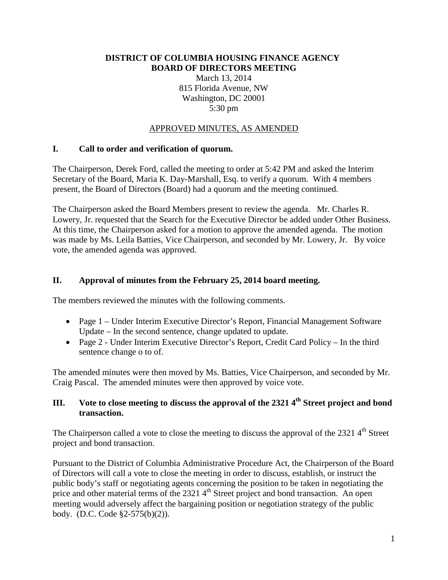#### **DISTRICT OF COLUMBIA HOUSING FINANCE AGENCY BOARD OF DIRECTORS MEETING**

March 13, 2014 815 Florida Avenue, NW Washington, DC 20001 5:30 pm

### APPROVED MINUTES, AS AMENDED

### **I. Call to order and verification of quorum.**

The Chairperson, Derek Ford, called the meeting to order at 5:42 PM and asked the Interim Secretary of the Board, Maria K. Day-Marshall, Esq. to verify a quorum. With 4 members present, the Board of Directors (Board) had a quorum and the meeting continued.

The Chairperson asked the Board Members present to review the agenda. Mr. Charles R. Lowery, Jr. requested that the Search for the Executive Director be added under Other Business. At this time, the Chairperson asked for a motion to approve the amended agenda. The motion was made by Ms. Leila Batties, Vice Chairperson, and seconded by Mr. Lowery, Jr. By voice vote, the amended agenda was approved.

### **II. Approval of minutes from the February 25, 2014 board meeting.**

The members reviewed the minutes with the following comments.

- Page 1 Under Interim Executive Director's Report, Financial Management Software Update – In the second sentence, change updated to update.
- Page 2 Under Interim Executive Director's Report, Credit Card Policy In the third sentence change o to of.

The amended minutes were then moved by Ms. Batties, Vice Chairperson, and seconded by Mr. Craig Pascal. The amended minutes were then approved by voice vote.

# **III.** Vote to close meeting to discuss the approval of the 2321 4<sup>th</sup> Street project and bond **transaction.**

The Chairperson called a vote to close the meeting to discuss the approval of the 2321  $4<sup>th</sup>$  Street project and bond transaction.

Pursuant to the District of Columbia Administrative Procedure Act, the Chairperson of the Board of Directors will call a vote to close the meeting in order to discuss, establish, or instruct the public body's staff or negotiating agents concerning the position to be taken in negotiating the price and other material terms of the 2321  $4<sup>th</sup>$  Street project and bond transaction. An open meeting would adversely affect the bargaining position or negotiation strategy of the public body. (D.C. Code §2-575(b)(2)).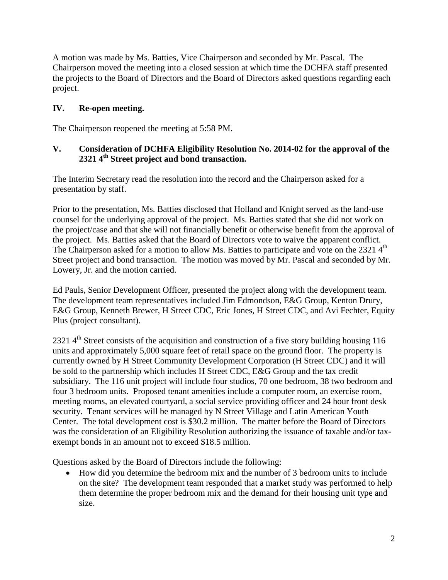A motion was made by Ms. Batties, Vice Chairperson and seconded by Mr. Pascal. The Chairperson moved the meeting into a closed session at which time the DCHFA staff presented the projects to the Board of Directors and the Board of Directors asked questions regarding each project.

# **IV. Re-open meeting.**

The Chairperson reopened the meeting at 5:58 PM.

### **V. Consideration of DCHFA Eligibility Resolution No. 2014-02 for the approval of the 2321 4th Street project and bond transaction.**

The Interim Secretary read the resolution into the record and the Chairperson asked for a presentation by staff.

Prior to the presentation, Ms. Batties disclosed that Holland and Knight served as the land-use counsel for the underlying approval of the project. Ms. Batties stated that she did not work on the project/case and that she will not financially benefit or otherwise benefit from the approval of the project. Ms. Batties asked that the Board of Directors vote to waive the apparent conflict. The Chairperson asked for a motion to allow Ms. Batties to participate and vote on the 2321 4<sup>th</sup> Street project and bond transaction. The motion was moved by Mr. Pascal and seconded by Mr. Lowery, Jr. and the motion carried.

Ed Pauls, Senior Development Officer, presented the project along with the development team. The development team representatives included Jim Edmondson, E&G Group, Kenton Drury, E&G Group, Kenneth Brewer, H Street CDC, Eric Jones, H Street CDC, and Avi Fechter, Equity Plus (project consultant).

2321 4<sup>th</sup> Street consists of the acquisition and construction of a five story building housing 116 units and approximately 5,000 square feet of retail space on the ground floor. The property is currently owned by H Street Community Development Corporation (H Street CDC) and it will be sold to the partnership which includes H Street CDC, E&G Group and the tax credit subsidiary. The 116 unit project will include four studios, 70 one bedroom, 38 two bedroom and four 3 bedroom units. Proposed tenant amenities include a computer room, an exercise room, meeting rooms, an elevated courtyard, a social service providing officer and 24 hour front desk security. Tenant services will be managed by N Street Village and Latin American Youth Center. The total development cost is \$30.2 million. The matter before the Board of Directors was the consideration of an Eligibility Resolution authorizing the issuance of taxable and/or taxexempt bonds in an amount not to exceed \$18.5 million.

Questions asked by the Board of Directors include the following:

• How did you determine the bedroom mix and the number of 3 bedroom units to include on the site? The development team responded that a market study was performed to help them determine the proper bedroom mix and the demand for their housing unit type and size.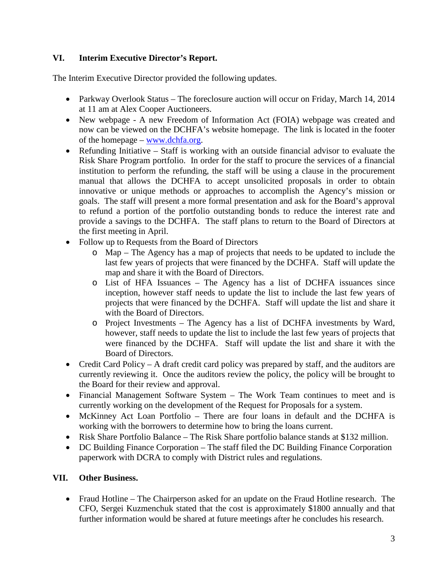# **VI. Interim Executive Director's Report.**

The Interim Executive Director provided the following updates.

- Parkway Overlook Status The foreclosure auction will occur on Friday, March 14, 2014 at 11 am at Alex Cooper Auctioneers.
- New webpage A new Freedom of Information Act (FOIA) webpage was created and now can be viewed on the DCHFA's website homepage. The link is located in the footer of the homepage – [www.dchfa.org.](http://www.dchfa.org/)
- Refunding Initiative Staff is working with an outside financial advisor to evaluate the Risk Share Program portfolio. In order for the staff to procure the services of a financial institution to perform the refunding, the staff will be using a clause in the procurement manual that allows the DCHFA to accept unsolicited proposals in order to obtain innovative or unique methods or approaches to accomplish the Agency's mission or goals. The staff will present a more formal presentation and ask for the Board's approval to refund a portion of the portfolio outstanding bonds to reduce the interest rate and provide a savings to the DCHFA. The staff plans to return to the Board of Directors at the first meeting in April.
- Follow up to Requests from the Board of Directors
	- o Map The Agency has a map of projects that needs to be updated to include the last few years of projects that were financed by the DCHFA. Staff will update the map and share it with the Board of Directors.
	- o List of HFA Issuances The Agency has a list of DCHFA issuances since inception, however staff needs to update the list to include the last few years of projects that were financed by the DCHFA. Staff will update the list and share it with the Board of Directors.
	- o Project Investments The Agency has a list of DCHFA investments by Ward, however, staff needs to update the list to include the last few years of projects that were financed by the DCHFA. Staff will update the list and share it with the Board of Directors.
- Credit Card Policy A draft credit card policy was prepared by staff, and the auditors are currently reviewing it. Once the auditors review the policy, the policy will be brought to the Board for their review and approval.
- Financial Management Software System The Work Team continues to meet and is currently working on the development of the Request for Proposals for a system.
- McKinney Act Loan Portfolio There are four loans in default and the DCHFA is working with the borrowers to determine how to bring the loans current.
- Risk Share Portfolio Balance The Risk Share portfolio balance stands at \$132 million.
- DC Building Finance Corporation The staff filed the DC Building Finance Corporation paperwork with DCRA to comply with District rules and regulations.

# **VII. Other Business.**

• Fraud Hotline – The Chairperson asked for an update on the Fraud Hotline research. The CFO, Sergei Kuzmenchuk stated that the cost is approximately \$1800 annually and that further information would be shared at future meetings after he concludes his research.